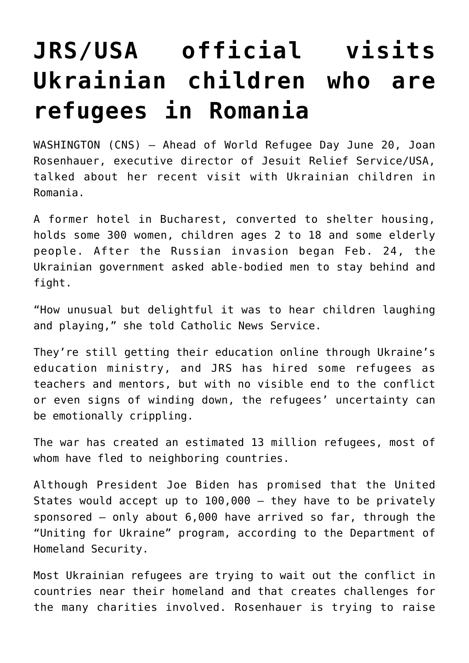## **[JRS/USA official visits](https://www.osvnews.com/2022/06/20/jrs-usa-official-visits-ukrainian-children-who-are-refugees-in-romania/) [Ukrainian children who are](https://www.osvnews.com/2022/06/20/jrs-usa-official-visits-ukrainian-children-who-are-refugees-in-romania/) [refugees in Romania](https://www.osvnews.com/2022/06/20/jrs-usa-official-visits-ukrainian-children-who-are-refugees-in-romania/)**

WASHINGTON (CNS) — Ahead of World Refugee Day June 20, Joan Rosenhauer, executive director of Jesuit Relief Service/USA, talked about her recent visit with Ukrainian children in Romania.

A former hotel in Bucharest, converted to shelter housing, holds some 300 women, children ages 2 to 18 and some elderly people. After the Russian invasion began Feb. 24, the Ukrainian government asked able-bodied men to stay behind and fight.

"How unusual but delightful it was to hear children laughing and playing," she told Catholic News Service.

They're still getting their education online through Ukraine's education ministry, and JRS has hired some refugees as teachers and mentors, but with no visible end to the conflict or even signs of winding down, the refugees' uncertainty can be emotionally crippling.

The war has created an estimated 13 million refugees, most of whom have fled to neighboring countries.

Although President Joe Biden has promised that the United States would accept up to 100,000 — they have to be privately sponsored — only about 6,000 have arrived so far, through the "Uniting for Ukraine" program, according to the Department of Homeland Security.

Most Ukrainian refugees are trying to wait out the conflict in countries near their homeland and that creates challenges for the many charities involved. Rosenhauer is trying to raise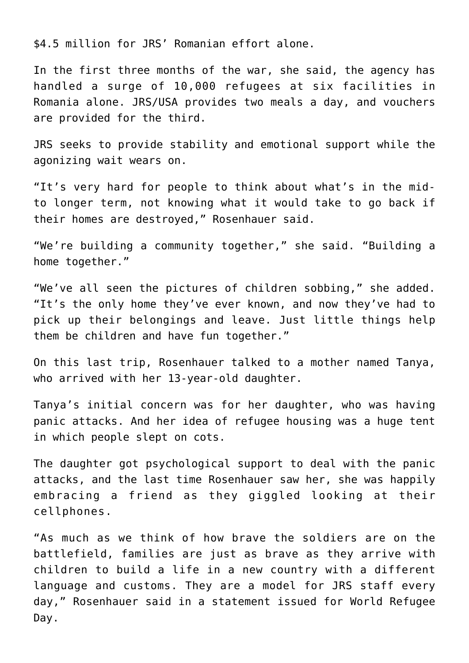\$4.5 million for JRS' Romanian effort alone.

In the first three months of the war, she said, the agency has handled a surge of 10,000 refugees at six facilities in Romania alone. JRS/USA provides two meals a day, and vouchers are provided for the third.

JRS seeks to provide stability and emotional support while the agonizing wait wears on.

"It's very hard for people to think about what's in the midto longer term, not knowing what it would take to go back if their homes are destroyed," Rosenhauer said.

"We're building a community together," she said. "Building a home together."

"We've all seen the pictures of children sobbing," she added. "It's the only home they've ever known, and now they've had to pick up their belongings and leave. Just little things help them be children and have fun together."

On this last trip, Rosenhauer talked to a mother named Tanya, who arrived with her 13-year-old daughter.

Tanya's initial concern was for her daughter, who was having panic attacks. And her idea of refugee housing was a huge tent in which people slept on cots.

The daughter got psychological support to deal with the panic attacks, and the last time Rosenhauer saw her, she was happily embracing a friend as they giggled looking at their cellphones.

"As much as we think of how brave the soldiers are on the battlefield, families are just as brave as they arrive with children to build a life in a new country with a different language and customs. They are a model for JRS staff every day," Rosenhauer said in a statement issued for World Refugee Day.